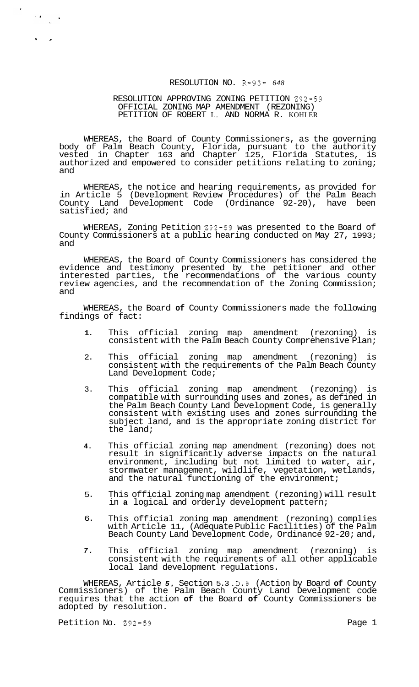### RESOLUTION NO. R-93- *648*

### RESOLUTION APPROVING ZONING PETITION 292-59 OFFICIAL ZONING MAP AMENDMENT (REZONING) PETITION OF ROBERT L. AND NORMA R. KOHLER

WHEREAS, the Board of County Commissioners, as the governing body of Palm Beach County, Florida, pursuant to the authority vested in Chapter 163 and Chapter 125, Florida Statutes, is authorized and empowered to consider petitions relating to zoning; and

WHEREAS, the notice and hearing requirements, as provided for in Article 5 (Development Review Procedures) of the Palm Beach County Land Development Code (Ordinance 92-20), have been satisfied; and

WHEREAS, Zoning Petition 292-59 was presented to the Board of County Commissioners at a public hearing conducted on May 27, 1993; and

WHEREAS, the Board of County Commissioners has considered the evidence and testimony presented by the petitioner and other interested parties, the recommendations of the various county review agencies, and the recommendation of the Zoning Commission; and

WHEREAS, the Board **of** County Commissioners made the following findings of fact:

- **1.**  This official zoning map amendment (rezoning) is consistent with the Palm Beach County Comprehensive Plan;
- 2. This official zoning map amendment (rezoning) is consistent with the requirements of the Palm Beach County Land Development Code;
- 3. This official zoning map amendment (rezoning) is compatible with surrounding uses and zones, as defined in the Palm Beach County Land Development Code, is generally consistent with existing uses and zones surrounding the subject land, and is the appropriate zoning district for the land;
- **4.**  This official zoning map amendment (rezoning) does not result in significantly adverse impacts on the natural environment, including but not limited to water, air, stormwater management, wildlife, vegetation, wetlands, and the natural functioning of the environment;
- 5. This official zoning map amendment (rezoning) will result in **a** logical and orderly development pattern;
- 6. This official zoning map amendment (rezoning) complies with Article 11, (Adequate Public Facilities) of the Palm Beach County Land Development Code, Ordinance 92-20; and,
- *7.*  This official zoning map amendment (rezoning) is consistent with the requirements of all other applicable local land development regulations.

WHEREAS, Article *5,* Section 5.3 .D.9 (Action by Board **of** County Commissioners) of the Palm Beach County Land Development code requires that the action **of** the Board **of** County Commissioners be adopted by resolution.

Petition No. 292-59 Page 1

\*...

 $\sim$  8  $\,$  4  $\,$   $\sim$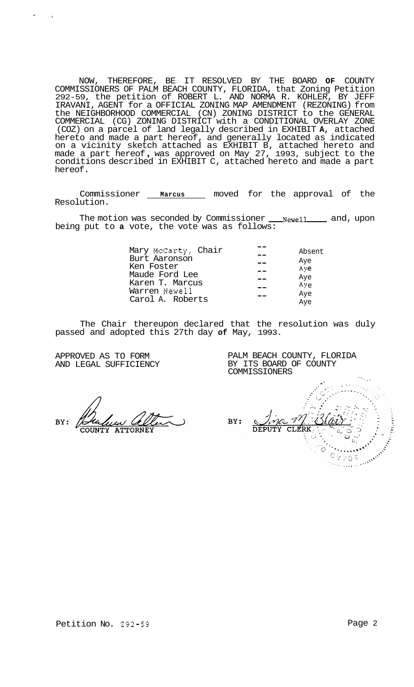NOW, THEREFORE, BE IT RESOLVED BY THE BOARD **OF** COUNTY COMMISSIONERS OF PALM BEACH COUNTY, FLORIDA, that Zoning Petition 292-59, the petition of ROBERT L. AND NORMA R. KOHLER, BY JEFF IRAVANI, AGENT for a OFFICIAL ZONING MAP AMENDMENT (REZONING) from the NEIGHBORHOOD COMMERCIAL (CN) ZONING DISTRICT to the GENERAL COMMERCIAL (CG) ZONING DISTRICT with a CONDITIONAL OVERLAY ZONE (COZ) on a parcel of land legally described in EXHIBIT **A,** attached hereto and made a part hereof, and generally located as indicated on a vicinity sketch attached as EXHIBIT B, attached hereto and made a part hereof , was approved on May 27, 1993, subject to the conditions described in EXHIBIT C, attached hereto and made a part hereof.

Commissioner **Marcus** moved for the approval of the Resolution.

The motion was seconded by Commissioner \_\_ Newell \_\_\_\_ and, upon being put to **a** vote, the vote was as follows:

| Mary McCarty, Chair | Absent |
|---------------------|--------|
| Burt Aaronson       | Aye    |
| Ken Foster          | Aye    |
| Maude Ford Lee      | Aye    |
| Karen T. Marcus     | Aye    |
| Warren Newell       | Aye    |
| Carol A. Roberts    | Aye    |

The Chair thereupon declared that the resolution was duly passed and adopted this 27th day **of** May, 1993.

APPROVED AS TO FORM AND LEGAL SUFFICIENCY

BY:

Alling Collins  $\mathscr{P}$ BY: CLERK  $0.9705$ 

PALM BEACH COUNTY, FLORIDA BY ITS BOARD OF COUNTY

COMMISSIONERS , , '.. . .. **.I**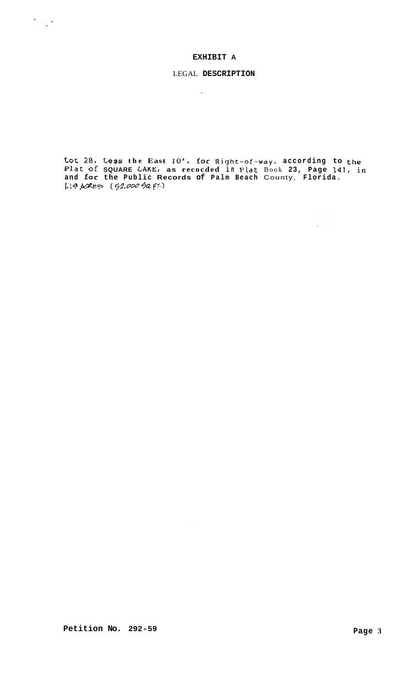### EXHIBIT A

 $\frac{1}{2} \sum_{i=1}^n \frac{1}{2} \sum_{j=1}^n \frac{1}{2} \sum_{j=1}^n \frac{1}{2} \sum_{j=1}^n \frac{1}{2} \sum_{j=1}^n \frac{1}{2} \sum_{j=1}^n \frac{1}{2} \sum_{j=1}^n \frac{1}{2} \sum_{j=1}^n \frac{1}{2} \sum_{j=1}^n \frac{1}{2} \sum_{j=1}^n \frac{1}{2} \sum_{j=1}^n \frac{1}{2} \sum_{j=1}^n \frac{1}{2} \sum_{j=1}^n \frac{1}{2} \sum_{j=$ 

## LEGAL DESCRIPTION

 $\sim$ 

Lot 28, Less the East 10', for Right-of-way, according to the<br>Plat of SQUARE LAKE, as recocded in Plat Book 23, Page 141, in<br>and for the Public Records of Palm Beach County, Florida.<br>19 ACRES (52.000 5a.FT)

 $\sim 10^{-1}$ 

 $\sim 10^{-11}$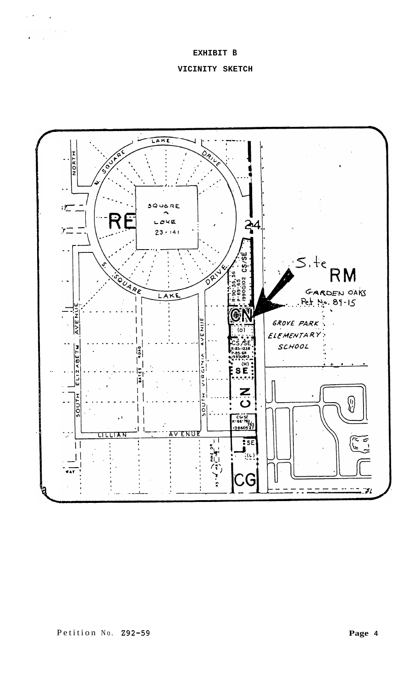### **EXHIBIT B**

# **VICINITY SKETCH**

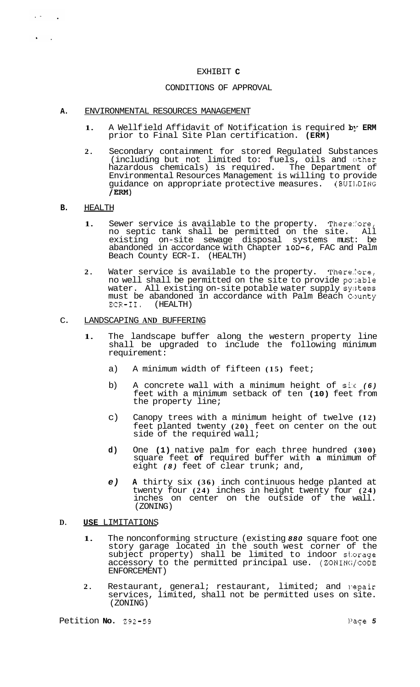### EXHIBIT **C**

# CONDITIONS OF APPROVAL

#### **A.** ENVIRONMENTAL RESOURCES MANAGEMENT

- 1. A Wellfield Affidavit of Notification is required by ERM prior to Final Site Plan certification. **(ERM)**
- **2.** Secondary containment for stored Regulated Substances (including but not limited to: fuels, oils and other hazardous chemicals) is required. The Department of Environmental Resources Management is willing to provide guidance on appropriate protective measures. (BUI1,DING **/EM)**

### **B.** HEALTH

 $\mu$  ,  $\mu$  ,  $\mu$ 

 $\mathbf{r}$  $\sim$   $\sim$ 

- 1. Sewer service is available to the property. Therefore, no septic tank shall be permitted on the site. All existing on-site sewage disposal systems must: be abandoned in accordance with Chapter **10D-6,** FAC and Palm Beach County ECR-I. (HEALTH)
- 2. Water service is available to the property. Therefore, no well shall be permitted on the site to provide potable water. All existing on-site potable water supply systems must be abandoned in accordance with Palm Beach County ECR-II. (HEALTH)  $ECR-II$ .

### C. LANDSCAPING **AND** BUFFERING

- **1.** The landscape buffer along the western property line shall be upgraded to include the following minimum requirement:
	- a) A minimum width of fifteen **(15)** feet;
	- b) A concrete wall with a minimum height of six (6) feet with a minimum setback of ten **(10)** feet from the property line;
	- c) Canopy trees with a minimum height of twelve **(12)**  feet planted twenty **(20)** feet on center on the out side of the required wall;
	- **d)** One **(1)** native palm for each three hundred **(300)**  square feet **of** required buffer with **a** minimum of eight *(8)* feet of clear trunk; and,
	- *e)* **A** thirty six **(36)** inch continuous hedge planted at twenty four **(24)** inches in height twenty four **(24)**  inches on center on the outside of the wall. (ZONING)

### **D. USE** LIMITATIONS

- **1.** The nonconforming structure (existing *880* square foot one story garage located in the south west corner of the subject property) shall be limited to indoor storage accessory to the permitted principal use. (ZONIN(;/CODE ENFORCEMENT)
- 2. Restaurant, general; restaurant, limited; and mepair services, limited, shall not be permitted uses on site. (ZONING)

Petition **No. 292-59** ]'age *5*